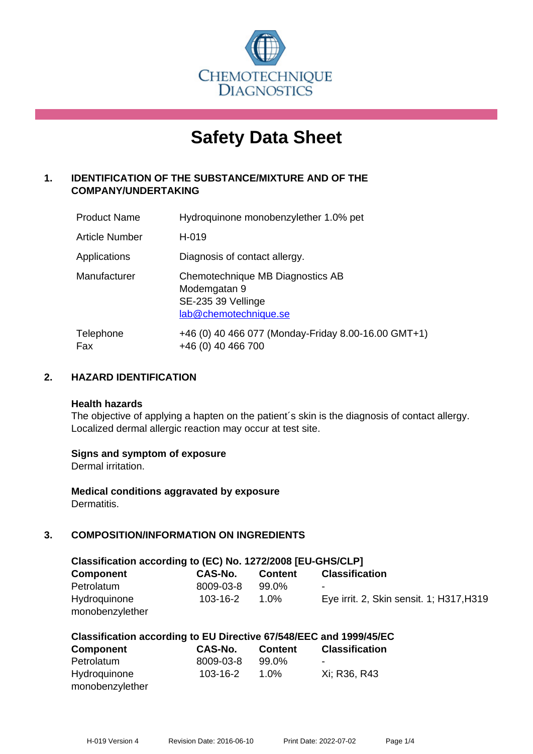

# **Safety Data Sheet**

# **1. IDENTIFICATION OF THE SUBSTANCE/MIXTURE AND OF THE COMPANY/UNDERTAKING**

| <b>Product Name</b> | Hydroquinone monobenzylether 1.0% pet                                                           |
|---------------------|-------------------------------------------------------------------------------------------------|
| Article Number      | H-019                                                                                           |
| Applications        | Diagnosis of contact allergy.                                                                   |
| Manufacturer        | Chemotechnique MB Diagnostics AB<br>Modemgatan 9<br>SE-235 39 Vellinge<br>lab@chemotechnique.se |
| Telephone<br>Fax    | +46 (0) 40 466 077 (Monday-Friday 8.00-16.00 GMT+1)<br>+46 (0) 40 466 700                       |

# **2. HAZARD IDENTIFICATION**

#### **Health hazards**

The objective of applying a hapten on the patient's skin is the diagnosis of contact allergy. Localized dermal allergic reaction may occur at test site.

# **Signs and symptom of exposure**

Dermal irritation.

**Medical conditions aggravated by exposure** Dermatitis.

# **3. COMPOSITION/INFORMATION ON INGREDIENTS**

| Classification according to (EC) No. 1272/2008 [EU-GHS/CLP] |           |                |                                          |  |  |
|-------------------------------------------------------------|-----------|----------------|------------------------------------------|--|--|
| Component                                                   | CAS-No.   | <b>Content</b> | <b>Classification</b>                    |  |  |
| Petrolatum                                                  | 8009-03-8 | 99.0%          | ٠                                        |  |  |
| Hydroquinone                                                | 103-16-2  | 1.0%           | Eye irrit. 2, Skin sensit. 1; H317, H319 |  |  |
| monobenzylether                                             |           |                |                                          |  |  |

| Classification according to EU Directive 67/548/EEC and 1999/45/EC |           |                |                       |  |
|--------------------------------------------------------------------|-----------|----------------|-----------------------|--|
| <b>Component</b>                                                   | CAS-No.   | <b>Content</b> | <b>Classification</b> |  |
| Petrolatum                                                         | 8009-03-8 | $99.0\%$       | -                     |  |
| Hydroquinone                                                       | 103-16-2  | $1.0\%$        | Xi: R36, R43          |  |
| monobenzylether                                                    |           |                |                       |  |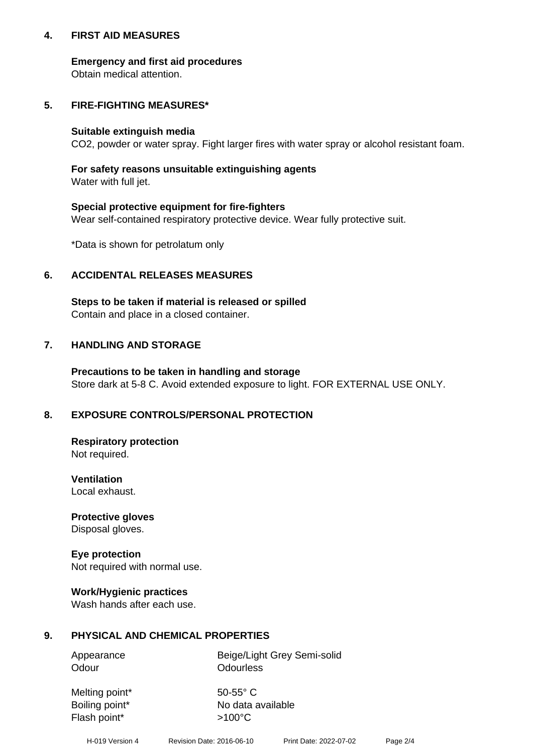# **4. FIRST AID MEASURES**

# **Emergency and first aid procedures**

Obtain medical attention.

# **5. FIRE-FIGHTING MEASURES\***

#### **Suitable extinguish media**

CO2, powder or water spray. Fight larger fires with water spray or alcohol resistant foam.

# **For safety reasons unsuitable extinguishing agents**

Water with full jet.

# **Special protective equipment for fire-fighters**

Wear self-contained respiratory protective device. Wear fully protective suit.

\*Data is shown for petrolatum only

# **6. ACCIDENTAL RELEASES MEASURES**

**Steps to be taken if material is released or spilled** Contain and place in a closed container.

# **7. HANDLING AND STORAGE**

**Precautions to be taken in handling and storage** Store dark at 5-8 C. Avoid extended exposure to light. FOR EXTERNAL USE ONLY.

# **8. EXPOSURE CONTROLS/PERSONAL PROTECTION**

**Respiratory protection** Not required.

**Ventilation** Local exhaust.

**Protective gloves** Disposal gloves.

#### **Eye protection** Not required with normal use.

# **Work/Hygienic practices**

Wash hands after each use.

# **9. PHYSICAL AND CHEMICAL PROPERTIES**

Odour **Odourless** 

Appearance Beige/Light Grey Semi-solid

Melting point\* 50-55° C Flash point\*  $>100^{\circ}$ C

Boiling point\* No data available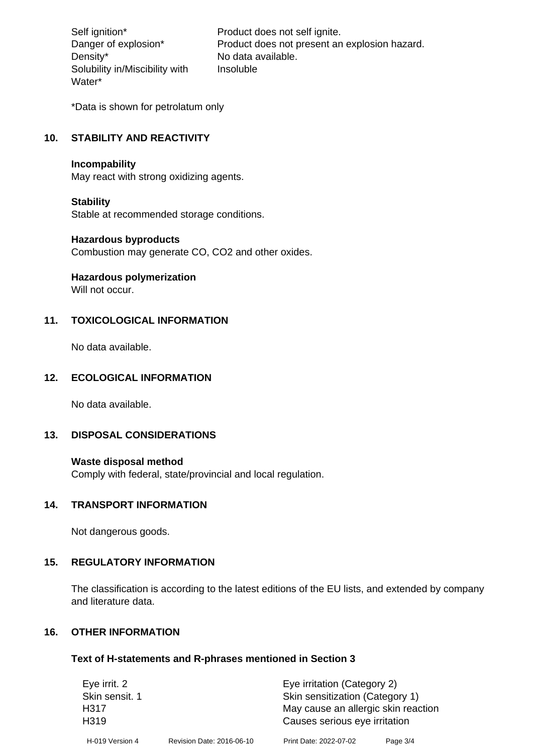Density\* No data available. Solubility in/Miscibility with Water\*

Self ignition\* Product does not self ignite. Danger of explosion\* Product does not present an explosion hazard. Insoluble

\*Data is shown for petrolatum only

# **10. STABILITY AND REACTIVITY**

#### **Incompability**

May react with strong oxidizing agents.

#### **Stability**

Stable at recommended storage conditions.

#### **Hazardous byproducts**

Combustion may generate CO, CO2 and other oxides.

**Hazardous polymerization**

Will not occur.

# **11. TOXICOLOGICAL INFORMATION**

No data available.

# **12. ECOLOGICAL INFORMATION**

No data available.

# **13. DISPOSAL CONSIDERATIONS**

#### **Waste disposal method**

Comply with federal, state/provincial and local regulation.

#### **14. TRANSPORT INFORMATION**

Not dangerous goods.

# **15. REGULATORY INFORMATION**

The classification is according to the latest editions of the EU lists, and extended by company and literature data.

#### **16. OTHER INFORMATION**

#### **Text of H-statements and R-phrases mentioned in Section 3**

| Eye irrit. 2     |                           | Eye irritation (Category 2)         |          |  |
|------------------|---------------------------|-------------------------------------|----------|--|
| Skin sensit. 1   |                           | Skin sensitization (Category 1)     |          |  |
| H317             |                           | May cause an allergic skin reaction |          |  |
| H <sub>319</sub> |                           | Causes serious eye irritation       |          |  |
| H-019 Version 4  | Revision Date: 2016-06-10 | Print Date: 2022-07-02              | Page 3/4 |  |